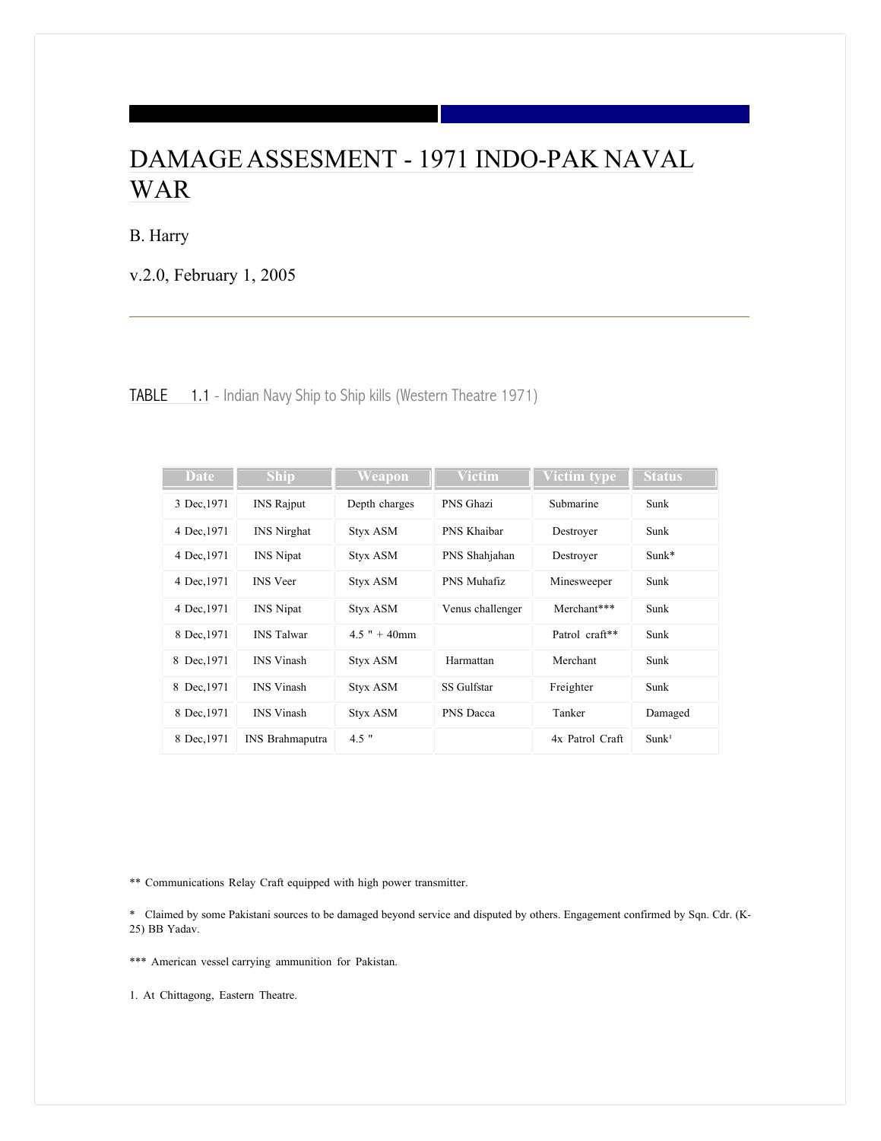# DAMAGE ASSESMENT - 1971 INDO-PAK NAVAL WAR

B. Harry

v.2.0, February 1, 2005

| <b>TABLE</b> 1.1 - Indian Navy Ship to Ship kills (Western Theatre 1971) |  |  |  |  |  |  |
|--------------------------------------------------------------------------|--|--|--|--|--|--|
|                                                                          |  |  |  |  |  |  |

| Date        | <b>Ship</b>            | Weapon          | <b>Victim</b>    | Victim type     | <b>Status</b>     |
|-------------|------------------------|-----------------|------------------|-----------------|-------------------|
| 3 Dec, 1971 | <b>INS Rajput</b>      | Depth charges   | PNS Ghazi        | Submarine       | Sunk              |
| 4 Dec, 1971 | <b>INS</b> Nirghat     | <b>Styx ASM</b> | PNS Khaibar      | Destroyer       | Sunk              |
| 4 Dec, 1971 | <b>INS</b> Nipat       | <b>Styx ASM</b> | PNS Shahjahan    | Destroyer       | $Sunk*$           |
| 4 Dec, 1971 | <b>INS</b> Veer        | <b>Styx ASM</b> | PNS Muhafiz      | Minesweeper     | Sunk              |
| 4 Dec, 1971 | <b>INS</b> Nipat       | <b>Styx ASM</b> | Venus challenger | Merchant***     | Sunk              |
| 8 Dec, 1971 | <b>INS</b> Talwar      | $4.5$ " + 40mm  |                  | Patrol craft**  | Sunk              |
| 8 Dec, 1971 | <b>INS</b> Vinash      | <b>Styx ASM</b> | Harmattan        | Merchant        | Sunk              |
| 8 Dec, 1971 | <b>INS</b> Vinash      | <b>Styx ASM</b> | SS Gulfstar      | Freighter       | Sunk              |
| 8 Dec, 1971 | <b>INS</b> Vinash      | <b>Styx ASM</b> | PNS Dacca        | Tanker          | Damaged           |
| 8 Dec, 1971 | <b>INS</b> Brahmaputra | $4.5$ "         |                  | 4x Patrol Craft | Sunk <sup>1</sup> |

\*\* Communications Relay Craft equipped with high power transmitter.

\* Claimed by some Pakistani sources to be damaged beyond service and disputed by others. Engagement confirmed by Sqn. Cdr. (K-25) BB Yadav.

\*\*\* American vessel carrying ammunition for Pakistan.

1. At Chittagong, Eastern Theatre.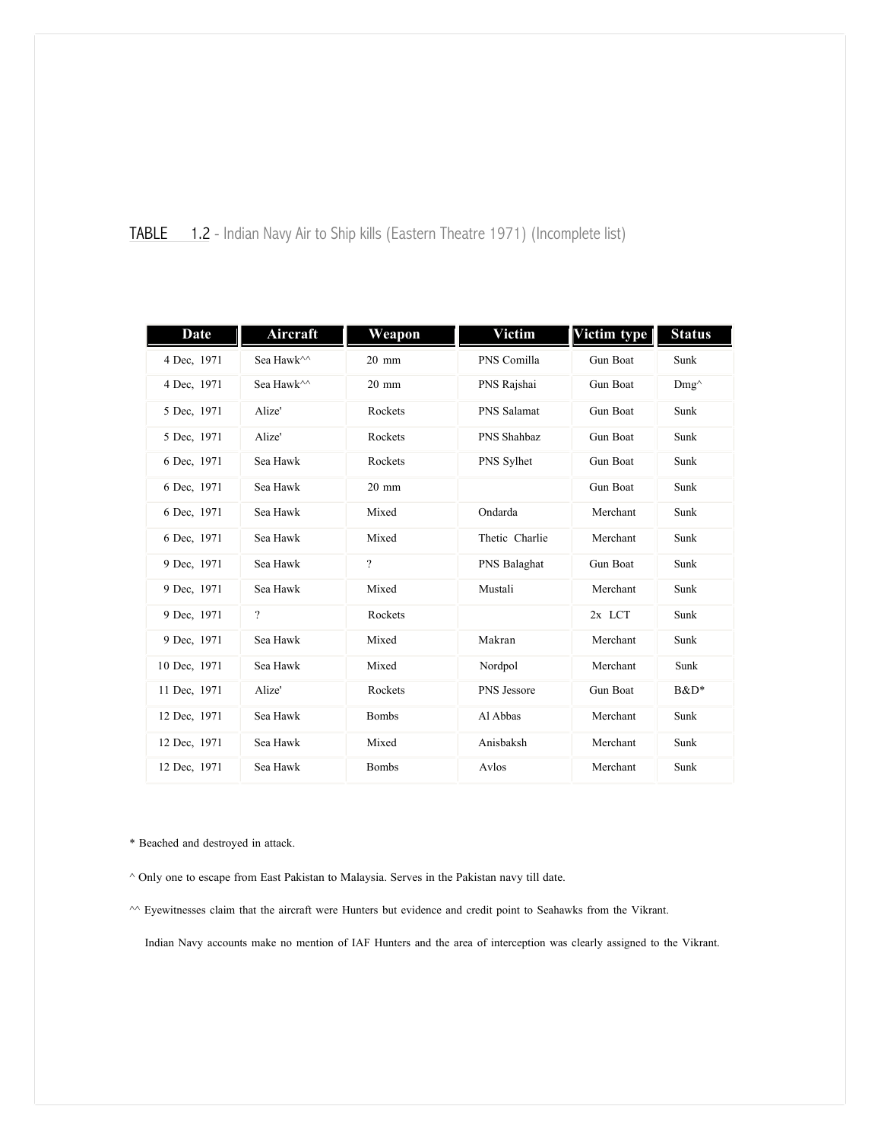| TABLE |  |  |  |  | 1.2 - Indian Navy Air to Ship kills (Eastern Theatre 1971) (Incomplete list) |  |
|-------|--|--|--|--|------------------------------------------------------------------------------|--|
|       |  |  |  |  |                                                                              |  |

| Date         | Aircraft                 | Weapon          | <b>Victim</b>  | Victim type | <b>Status</b>  |
|--------------|--------------------------|-----------------|----------------|-------------|----------------|
| 4 Dec. 1971  | Sea Hawk^^               | $20$ mm         | PNS Comilla    | Gun Boat    | Sunk           |
| 4 Dec. 1971  | Sea Hawk^^               | $20 \text{ mm}$ | PNS Rajshai    | Gun Boat    | $Dmg^{\wedge}$ |
| 5 Dec, 1971  | Alize'                   | Rockets         | PNS Salamat    | Gun Boat    | Sunk           |
| 5 Dec, 1971  | Alize'                   | Rockets         | PNS Shahbaz    | Gun Boat    | Sunk           |
| 6 Dec, 1971  | Sea Hawk                 | Rockets         | PNS Sylhet     | Gun Boat    | Sunk           |
| 6 Dec, 1971  | Sea Hawk                 | $20 \text{ mm}$ |                | Gun Boat    | Sunk           |
| 6 Dec, 1971  | Sea Hawk                 | Mixed           | Ondarda        | Merchant    | Sunk           |
| 6 Dec, 1971  | Sea Hawk                 | Mixed           | Thetic Charlie | Merchant    | Sunk           |
| 9 Dec, 1971  | Sea Hawk                 | $\gamma$        | PNS Balaghat   | Gun Boat    | Sunk           |
| 9 Dec, 1971  | Sea Hawk                 | Mixed           | Mustali        | Merchant    | Sunk           |
| 9 Dec, 1971  | $\overline{\phantom{a}}$ | Rockets         |                | 2x LCT      | Sunk           |
| 9 Dec, 1971  | Sea Hawk                 | Mixed           | Makran         | Merchant    | Sunk           |
| 10 Dec, 1971 | Sea Hawk                 | Mixed           | Nordpol        | Merchant    | Sunk           |
| 11 Dec, 1971 | Alize'                   | Rockets         | PNS Jessore    | Gun Boat    | B&D*           |
| 12 Dec. 1971 | Sea Hawk                 | <b>Bombs</b>    | Al Abbas       | Merchant    | Sunk           |
| 12 Dec. 1971 | Sea Hawk                 | Mixed           | Anisbaksh      | Merchant    | Sunk           |
| 12 Dec, 1971 | Sea Hawk                 | <b>Bombs</b>    | Avlos          | Merchant    | Sunk           |

\* Beached and destroyed in attack.

^ Only one to escape from East Pakistan to Malaysia. Serves in the Pakistan navy till date.

 $\sim$  Eyewitnesses claim that the aircraft were Hunters but evidence and credit point to Seahawks from the Vikrant.

Indian Navy accounts make no mention of IAF Hunters and the area of interception was clearly assigned to the Vikrant.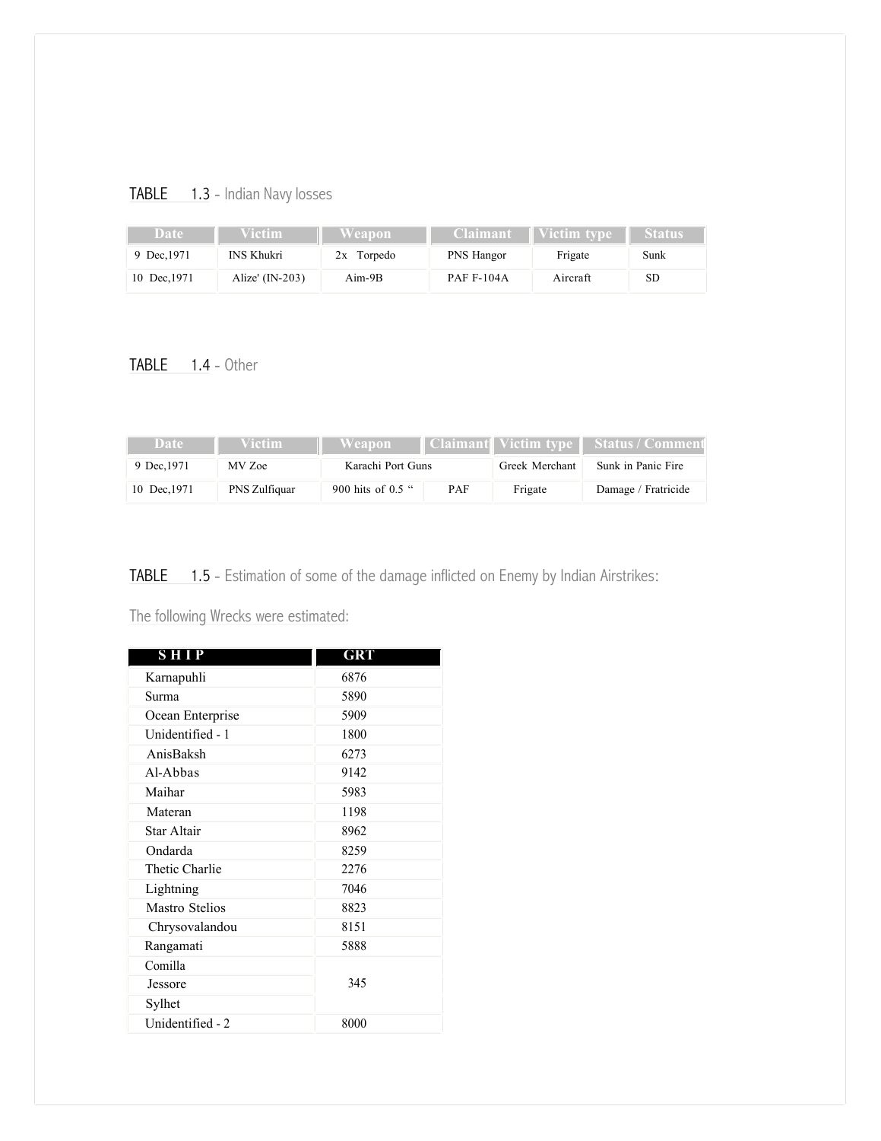## TABLE 1.3 - Indian Navy losses

| Date        | <b>/ictim</b>     | Weapon '     | <b>Claimant</b>   | Victim type | <b>Status'</b> |
|-------------|-------------------|--------------|-------------------|-------------|----------------|
| 9 Dec. 1971 | <b>INS Khukri</b> | $2x$ Torpedo | PNS Hangor        | Frigate     | Sunk           |
| 10 Dec.1971 | Alize' $(IN-203)$ | $Aim-9B$     | <b>PAF F-104A</b> | Aircraft    | <b>SD</b>      |

### TABLE 1.4 - Other

| Date        | Victim -      | Weapon                   |  |                | 'Claimant∥ Victim tvpe∥ Status / Comment |
|-------------|---------------|--------------------------|--|----------------|------------------------------------------|
| 9 Dec. 1971 | MV Zoe        | Karachi Port Guns        |  | Greek Merchant | Sunk in Panic Fire                       |
| 10 Dec.1971 | PNS Zulfiquar | 900 hits of 0.5 "<br>PAF |  | Frigate        | Damage / Fratricide                      |

TABLE 1.5 - Estimation of some of the damage inflicted on Enemy by Indian Airstrikes:

### The following Wrecks were estimated:

| <b>SHIP</b>           | GRT  |
|-----------------------|------|
| Karnapuhli            | 6876 |
| Surma                 | 5890 |
| Ocean Enterprise      | 5909 |
| Unidentified - 1      | 1800 |
| AnisBaksh             | 6273 |
| Al-Abbas              | 9142 |
| Maihar                | 5983 |
| Materan               | 1198 |
| Star Altair           | 8962 |
| Ondarda               | 8259 |
| Thetic Charlie        | 2276 |
| Lightning             | 7046 |
| <b>Mastro Stelios</b> | 8823 |
| Chrysovalandou        | 8151 |
| Rangamati             | 5888 |
| Comilla               |      |
| Jessore               | 345  |
| Sylhet                |      |
| Unidentified - 2      | 8000 |